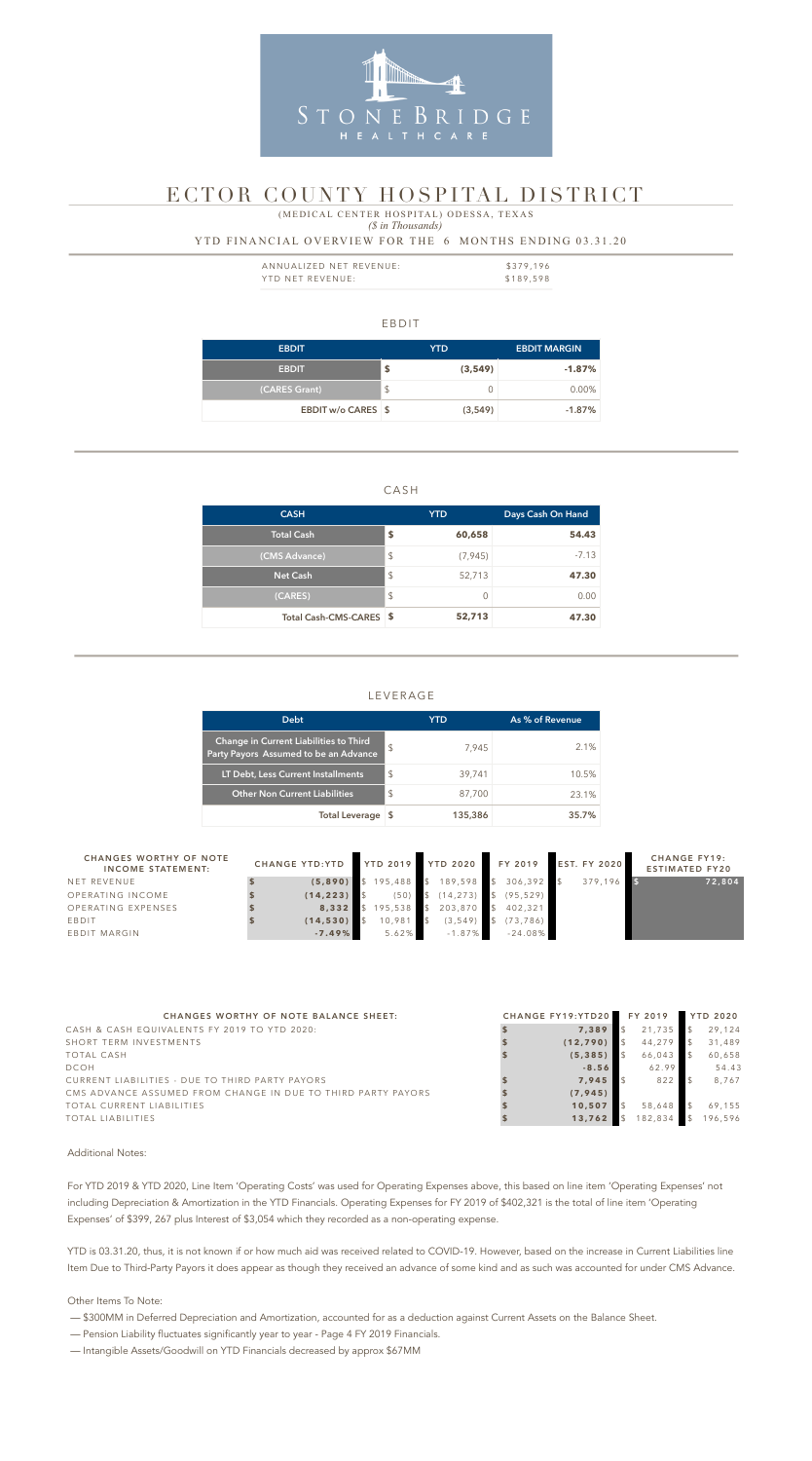#### EBDIT

| <b>EBDIT</b>       | <b>YTD</b>    | <b>EBDIT MARGIN</b> |
|--------------------|---------------|---------------------|
| <b>EBDIT</b>       | \$<br>(3,549) | $-1.87\%$           |
| (CARES Grant)      | \$            | $0.00\%$            |
| EBDIT w/o CARES \$ | (3,549)       | $-1.87\%$           |

#### CASH

| <b>CASH</b>             |                           | <b>YTD</b> | Days Cash On Hand |
|-------------------------|---------------------------|------------|-------------------|
| <b>Total Cash</b>       | \$                        | 60,658     | 54.43             |
| (CMS Advance)           | $\sqrt[6]{\frac{1}{2}}$   | (7, 945)   | $-7.13$           |
| <b>Net Cash</b>         | $\boldsymbol{\mathsf{S}}$ | 52,713     | 47.30             |
| (CARES)                 | $\sqrt[6]{\frac{1}{2}}$   |            | 0.00              |
| Total Cash-CMS-CARES \$ |                           | 52,713     | 47.30             |

| ANNUALIZED NET REVENUE: | \$379,196 |
|-------------------------|-----------|
| YTD NET REVENUE:        | \$189,598 |

## LEVERAGE

#### *(\$ in Thousands)* YTD FINANCIAL OVERVIEW FOR THE 6 MONTHS ENDING 03.31.20 (MEDICAL CENTER HOSPITAL) ODESSA, TEXAS

| <b>Debt</b>                                                                            |               | YTD     | As % of Revenue |
|----------------------------------------------------------------------------------------|---------------|---------|-----------------|
| <b>Change in Current Liabilities to Third</b><br>Party Payors Assumed to be an Advance | $\mathcal{L}$ | 7,945   | $2.1\%$         |
| LT Debt, Less Current Installments                                                     | \$            | 39,741  | 10.5%           |
| <b>Other Non Current Liabilities</b>                                                   | $\mathcal{S}$ | 87,700  | 23.1%           |
| <b>Total Leverage</b>                                                                  |               | 135,386 | 35.7%           |



# ECTOR COUNTY HOSPITAL DISTRICT

Additional Notes:

For YTD 2019 & YTD 2020, Line Item 'Operating Costs' was used for Operating Expenses above, this based on line item 'Operating Expenses' not including Depreciation & Amortization in the YTD Financials. Operating Expenses for FY 2019 of \$402,321 is the total of line item 'Operating Expenses' of \$399, 267 plus Interest of \$3,054 which they recorded as a non-operating expense.

YTD is 03.31.20, thus, it is not known if or how much aid was received related to COVID-19. However, based on the increase in Current Liabilities line Item Due to Third-Party Payors it does appear as though they received an advance of some kind and as such was accounted for under CMS Advance.

Other Items To Note:

- \$300MM in Deferred Depreciation and Amortization, accounted for as a deduction against Current Assets on the Balance Sheet.
- Pension Liability fluctuates significantly year to year Page 4 FY 2019 Financials.
- Intangible Assets/Goodwill on YTD Financials decreased by approx \$67MM

| <b>CHANGES WORTHY OF NOTE</b><br><b>INCOME STATEMENT:</b> | CHANGE YTD:YTD YTD 2019 YTD 2020 FY 2019 EST. FY 2020 |                                               |                                    |           |         | <b>CHANGE FY19:</b><br><b>ESTIMATED FY20</b> |
|-----------------------------------------------------------|-------------------------------------------------------|-----------------------------------------------|------------------------------------|-----------|---------|----------------------------------------------|
| NET REVENUE                                               |                                                       | $(5,890)$ \$ 195,488 \$ 189,598 \$ 306,392 \$ |                                    |           | 379,196 | 72,804                                       |
| OPERATING INCOME                                          | $(14, 223)$ \$                                        |                                               | $(50)$ \$ $(14,273)$ \$ $(95,529)$ |           |         |                                              |
| OPERATING EXPENSES                                        |                                                       | 8,332 \$ 195,538 \$ 203,870 \$ 402,321        |                                    |           |         |                                              |
| EBDIT                                                     | $(14, 530)$ \$                                        | $10,981$ \$                                   | $(3, 549)$ \$                      | (73, 786) |         |                                              |
| EBDIT MARGIN                                              | $-7.49%$                                              | 5.62%                                         | $-1.87\%$                          | $-24.08%$ |         |                                              |

| <b>CHANGES WORTHY OF NOTE BALANCE SHEET:</b>                 | CHANGE FY19:YTD20 FY 2019 |         | <b>YTD 2020</b> |
|--------------------------------------------------------------|---------------------------|---------|-----------------|
| CASH & CASH EQUIVALENTS FY 2019 TO YTD 2020:                 | 7,389                     | 21,735  | 29,124          |
| SHORT TERM INVESTMENTS                                       | (12, 790)                 | 44,279  | 31,489          |
| TOTAL CASH                                                   | (5, 385)                  | 66,043  | 60,658          |
| <b>DCOH</b>                                                  | $-8.56$                   | 62.99   | 54.43           |
| CURRENT LIABILITIES - DUE TO THIRD PARTY PAYORS              | 7,945                     | 822     | 8,767           |
| CMS ADVANCE ASSUMED FROM CHANGE IN DUE TO THIRD PARTY PAYORS | (7, 945)                  |         |                 |
| TOTAL CURRENT LIABILITIES                                    | 10,507                    | 58,648  | 69,155          |
| TOTAL LIABILITIES                                            | 13,762                    | 182,834 | 196,596         |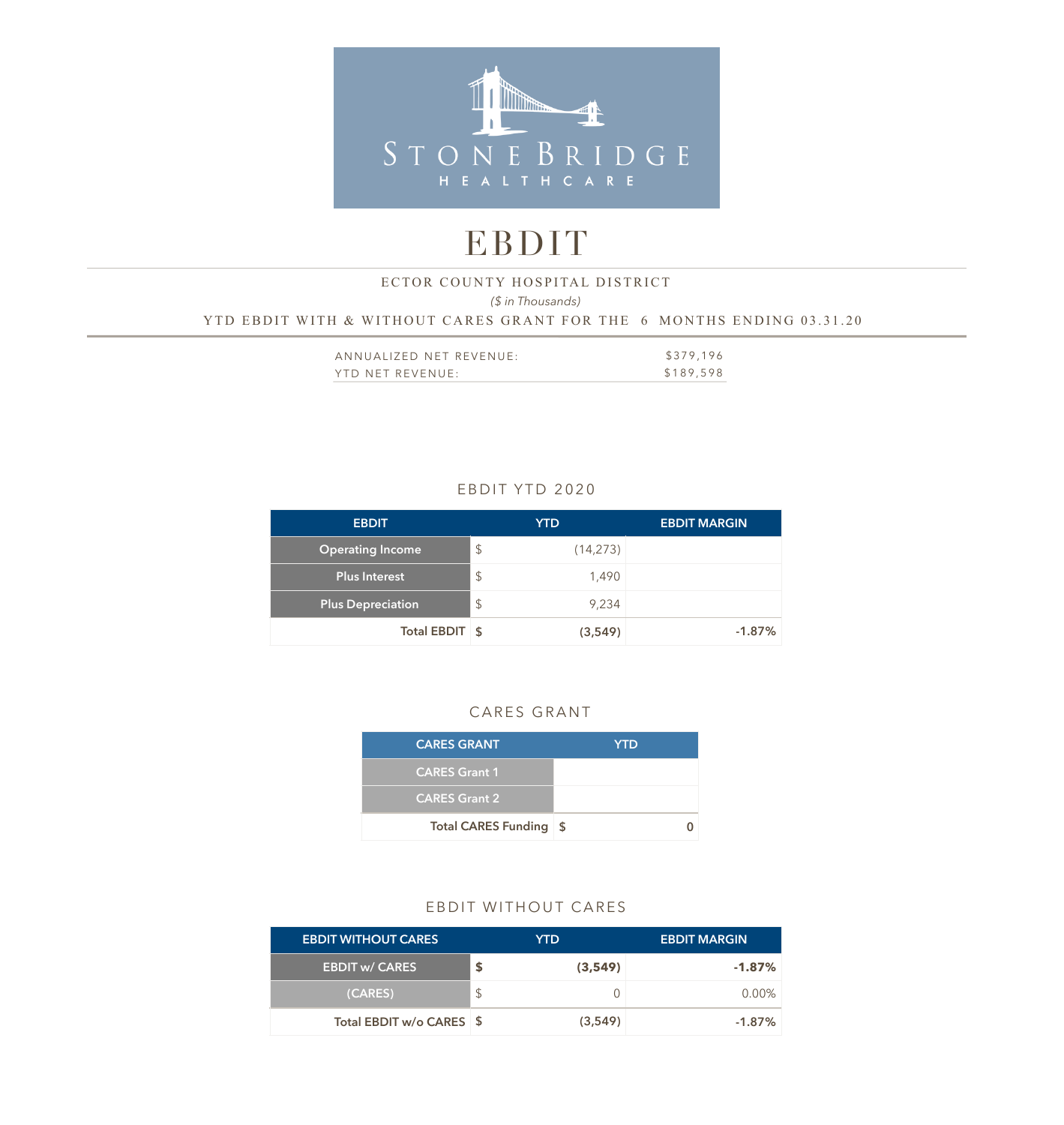

# EBDIT

# *(\$ in Thousands)*  YTD EBDIT WITH & WITHOUT CARES GRANT FOR THE 6 MONTHS ENDING 03.31.20 ECTOR COUNTY HOSPITAL DISTRICT

| ANNUALIZED NET REVENUE: | \$379,196 |
|-------------------------|-----------|
| YTD NET REVENUE:        | \$189,598 |

## EBDIT YTD 2020

| <b>EBDIT</b>             |               | <b>YTD</b> | <b>EBDIT MARGIN</b> |
|--------------------------|---------------|------------|---------------------|
| <b>Operating Income</b>  | \$            | (14, 273)  |                     |
| <b>Plus Interest</b>     | $\mathcal{L}$ | 1.490      |                     |
| <b>Plus Depreciation</b> | $\frac{1}{2}$ | 9,234      |                     |
| Total EBDIT \$           |               | (3,549)    | $-1.87%$            |

#### CARES GRANT

| <b>CARES GRANT</b>         | <b>YTD</b> |
|----------------------------|------------|
| <b>CARES Grant 1</b>       |            |
| <b>CARES Grant 2</b>       |            |
| <b>Total CARES Funding</b> | ∣\$        |

### EBDIT WITHOUT CARES

| <b>EBDIT WITHOUT CARES</b> | YTD.    | <b>EBDIT MARGIN</b> |
|----------------------------|---------|---------------------|
| <b>EBDIT w/ CARES</b>      | (3,549) | $-1.87\%$           |
| (CARES)                    |         | $0.00\%$            |
| Total EBDIT w/o CARES \$   | (3,549) | $-1.87\%$           |